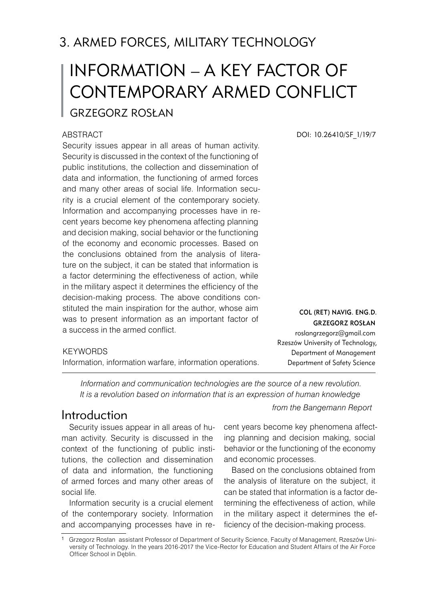## 3. ARMED FORCES, MILITARY TECHNOLOGY

# INFORMATION – A KEY FACTOR OF CONTEMPORARY ARMED CONFLICT Grzegorz ROSŁAN

#### **ABSTRACT**

Security issues appear in all areas of human activity. Security is discussed in the context of the functioning of public institutions, the collection and dissemination of data and information, the functioning of armed forces and many other areas of social life. Information security is a crucial element of the contemporary society. Information and accompanying processes have in recent years become key phenomena affecting planning and decision making, social behavior or the functioning of the economy and economic processes. Based on the conclusions obtained from the analysis of literature on the subject, it can be stated that information is a factor determining the effectiveness of action, while in the military aspect it determines the efficiency of the decision-making process. The above conditions constituted the main inspiration for the author, whose aim was to present information as an important factor of a success in the armed conflict.

#### **KEYWORDS**

Information, information warfare, information operations.

DOI: 10.26410/SF\_1/19/7

*Information and communication technologies are the source of a new revolution. It is a revolution based on information that is an expression of human knowledge*

Security issues appear in all areas of human activity. Security is discussed in the context of the functioning of public institutions, the collection and dissemination of data and information, the functioning of armed forces and many other areas of social life.

Information security is a crucial element of the contemporary society. Information and accompanying processes have in re-

*from the Bangemann Report* Introduction

Col (ret) navig. Eng.D. Grzegorz ROSŁAN roslangrzegorz@gmail.com Rzeszów University of Technology, Department of Management Department of Safety Science

cent years become key phenomena affecting planning and decision making, social behavior or the functioning of the economy and economic processes.

Based on the conclusions obtained from the analysis of literature on the subject, it can be stated that information is a factor determining the effectiveness of action, while in the military aspect it determines the efficiency of the decision-making process.

<sup>1</sup> Grzegorz Rosłan assistant Professor of Department of Security Science, Faculty of Management, Rzeszów University of Technology. In the years 2016-2017 the Vice-Rector for Education and Student Affairs of the Air Force Officer School in Dęblin.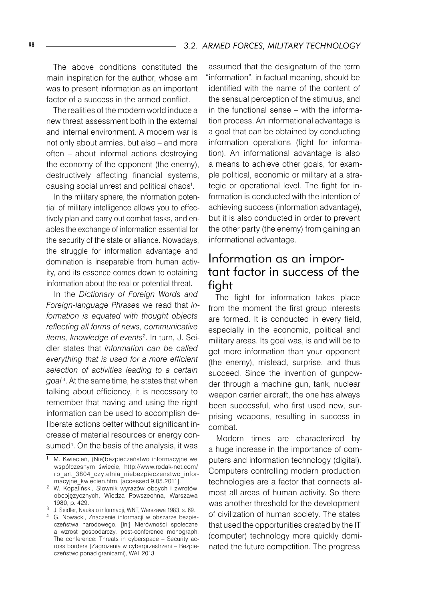The above conditions constituted the main inspiration for the author, whose aim was to present information as an important factor of a success in the armed conflict.

The realities of the modern world induce a new threat assessment both in the external and internal environment. A modern war is not only about armies, but also – and more often – about informal actions destroying the economy of the opponent (the enemy), destructively affecting financial systems, causing social unrest and political chaos1 .

In the military sphere, the information potential of military intelligence allows you to effectively plan and carry out combat tasks, and enables the exchange of information essential for the security of the state or alliance. Nowadays, the struggle for information advantage and domination is inseparable from human activity, and its essence comes down to obtaining information about the real or potential threat.

In the *Dictionary of Foreign Words and Foreign-language Phrase*s we read that *information is equated with thought objects reflecting all forms of news, communicative items, knowledge of events*<sup>2</sup> . In turn, J. Seidler states that *information can be called everything that is used for a more efficient selection of activities leading to a certain goal* <sup>3</sup>. At the same time, he states that when talking about efficiency, it is necessary to remember that having and using the right information can be used to accomplish deliberate actions better without significant increase of material resources or energy consumed<sup>4</sup>. On the basis of the analysis, it was

assumed that the designatum of the term "information", in factual meaning, should be identified with the name of the content of the sensual perception of the stimulus, and in the functional sense – with the information process. An informational advantage is a goal that can be obtained by conducting information operations (fight for information). An informational advantage is also a means to achieve other goals, for example political, economic or military at a strategic or operational level. The fight for information is conducted with the intention of achieving success (information advantage), but it is also conducted in order to prevent the other party (the enemy) from gaining an informational advantage.

#### Information as an important factor in success of the fight

The fight for information takes place from the moment the first group interests are formed. It is conducted in every field, especially in the economic, political and military areas. Its goal was, is and will be to get more information than your opponent (the enemy), mislead, surprise, and thus succeed. Since the invention of gunpowder through a machine gun, tank, nuclear weapon carrier aircraft, the one has always been successful, who first used new, surprising weapons, resulting in success in combat.

Modern times are characterized by a huge increase in the importance of computers and information technology (digital). Computers controlling modern production technologies are a factor that connects almost all areas of human activity. So there was another threshold for the development of civilization of human society. The states that used the opportunities created by the IT (computer) technology more quickly dominated the future competition. The progress

<sup>&</sup>lt;sup>1</sup> M. Kwiecień, (Nie)bezpieczeństwo informacyjne we współczesnym świecie, http://www.rodak-net.com/ rp\_art\_3804\_czytelnia\_niebezpieczenstwo\_informacyjne\_kwiecien.htm, [accessed 9.05.2011].

W. Kopaliński, Słownik wyrazów obcych i zwrotów obcojęzycznych, Wiedza Powszechna, Warszawa 1980, p. 429.

J. Seidler, Nauka o informacji, WNT, Warszawa 1983, s. 69.

<sup>&</sup>lt;sup>4</sup> G. Nowacki, Znaczenie informacji w obszarze bezpieczeństwa narodowego, [in:] Nierówności społeczne a wzrost gospodarczy, post-conference monograph, The conference: Threats in cyberspace – Security across borders (Zagrożenia w cyberprzestrzeni – Bezpieczeństwo ponad granicami), WAT 2013.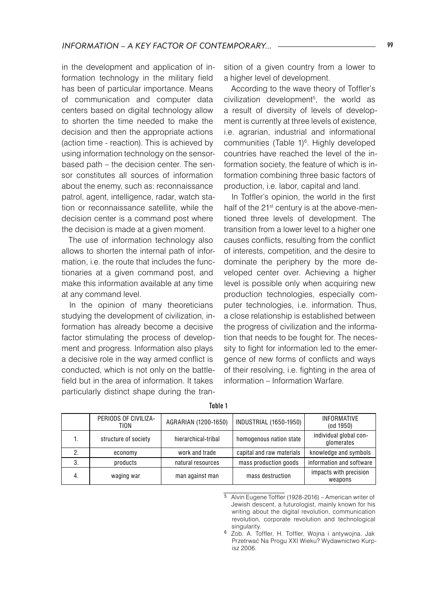in the development and application of information technology in the military field has been of particular importance. Means of communication and computer data centers based on digital technology allow to shorten the time needed to make the decision and then the appropriate actions (action time - reaction). This is achieved by using information technology on the sensorbased path – the decision center. The sensor constitutes all sources of information about the enemy, such as: reconnaissance patrol, agent, intelligence, radar, watch station or reconnaissance satellite, while the decision center is a command post where the decision is made at a given moment.

The use of information technology also allows to shorten the internal path of information, i.e. the route that includes the functionaries at a given command post, and make this information available at any time at any command level.

In the opinion of many theoreticians studying the development of civilization, information has already become a decisive factor stimulating the process of development and progress. Information also plays a decisive role in the way armed conflict is conducted, which is not only on the battlefield but in the area of information. It takes particularly distinct shape during the transition of a given country from a lower to a higher level of development.

According to the wave theory of Toffler's civilization development5 , the world as a result of diversity of levels of development is currently at three levels of existence, i.e. agrarian, industrial and informational communities (Table 1)<sup>6</sup>. Highly developed countries have reached the level of the information society, the feature of which is information combining three basic factors of production, i.e. labor, capital and land.

In Toffler's opinion, the world in the first half of the 21<sup>st</sup> century is at the above-mentioned three levels of development. The transition from a lower level to a higher one causes conflicts, resulting from the conflict of interests, competition, and the desire to dominate the periphery by the more developed center over. Achieving a higher level is possible only when acquiring new production technologies, especially computer technologies, i.e. information. Thus, a close relationship is established between the progress of civilization and the information that needs to be fought for. The necessity to fight for information led to the emergence of new forms of conflicts and ways of their resolving, i.e. fighting in the area of information – Information Warfare.

|    | PERIODS OF CIVILIZA-<br>TION | AGRARIAN (1200-1650) | INDUSTRIAL (1650-1950)    | <b>INFORMATIVE</b><br>$($ od 1950 $)$ |
|----|------------------------------|----------------------|---------------------------|---------------------------------------|
|    | structure of society         | hierarchical-tribal  | homogenous nation state   | individual global con-<br>glomerates  |
|    | economy                      | work and trade       | capital and raw materials | knowledge and symbols                 |
|    | products                     | natural resources    | mass production goods     | information and software              |
| 4. | waging war                   | man against man      | mass destruction          | impacts with precision<br>weapons     |

|--|

<sup>5</sup> Alvin Eugene Toffler (1928-2016) – American writer of Jewish descent, a futurologist, mainly known for his writing about the digital revolution, communication revolution, corporate revolution and technological singularity.

<sup>6</sup> Zob. A. Toffler, H. Toffler, Wojna i antywojna. Jak Przetrwać Na Progu XXI Wieku? Wydawnictwo Kurpisz 2006.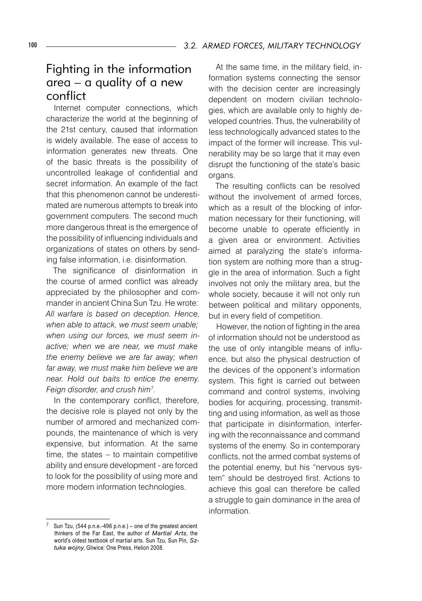#### Fighting in the information area – a quality of a new conflict

Internet computer connections, which characterize the world at the beginning of the 21st century, caused that information is widely available. The ease of access to information generates new threats. One of the basic threats is the possibility of uncontrolled leakage of confidential and secret information. An example of the fact that this phenomenon cannot be underestimated are numerous attempts to break into government computers. The second much more dangerous threat is the emergence of the possibility of influencing individuals and organizations of states on others by sending false information, i.e. disinformation.

The significance of disinformation in the course of armed conflict was already appreciated by the philosopher and commander in ancient China Sun Tzu. He wrote: *All warfare is based on deception. Hence, when able to attack, we must seem unable; when using our forces, we must seem inactive; when we are near, we must make the enemy believe we are far away; when far away, we must make him believe we are near. Hold out baits to entice the enemy. Feign disorder, and crush him*<sup>7</sup> .

In the contemporary conflict, therefore, the decisive role is played not only by the number of armored and mechanized compounds, the maintenance of which is very expensive, but information. At the same time, the states – to maintain competitive ability and ensure development - are forced to look for the possibility of using more and more modern information technologies.

At the same time, in the military field, information systems connecting the sensor with the decision center are increasingly dependent on modern civilian technologies, which are available only to highly developed countries. Thus, the vulnerability of less technologically advanced states to the impact of the former will increase. This vulnerability may be so large that it may even disrupt the functioning of the state's basic organs.

The resulting conflicts can be resolved without the involvement of armed forces. which as a result of the blocking of information necessary for their functioning, will become unable to operate efficiently in a given area or environment. Activities aimed at paralyzing the state's information system are nothing more than a struggle in the area of information. Such a fight involves not only the military area, but the whole society, because it will not only run between political and military opponents, but in every field of competition.

However, the notion of fighting in the area of information should not be understood as the use of only intangible means of influence, but also the physical destruction of the devices of the opponent's information system. This fight is carried out between command and control systems, involving bodies for acquiring, processing, transmitting and using information, as well as those that participate in disinformation, interfering with the reconnaissance and command systems of the enemy. So in contemporary conflicts, not the armed combat systems of the potential enemy, but his "nervous system" should be destroyed first. Actions to achieve this goal can therefore be called a struggle to gain dominance in the area of information.

Sun Tzu, (544 p.n.e.-496 p.n.e.) – one of the greatest ancient thinkers of the Far East, the author of *Martial Arts*, the world's oldest textbook of martial arts. Sun Tzu, Sun Pin, *Sztuka wojny*, Gliwice: One Press, Helion 2008.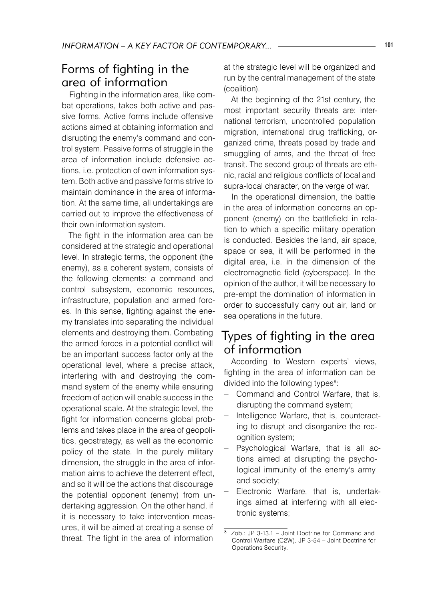## Forms of fighting in the area of information

Fighting in the information area, like combat operations, takes both active and passive forms. Active forms include offensive actions aimed at obtaining information and disrupting the enemy's command and control system. Passive forms of struggle in the area of information include defensive actions, i.e. protection of own information system. Both active and passive forms strive to maintain dominance in the area of information. At the same time, all undertakings are carried out to improve the effectiveness of their own information system.

The fight in the information area can be considered at the strategic and operational level. In strategic terms, the opponent (the enemy), as a coherent system, consists of the following elements: a command and control subsystem, economic resources, infrastructure, population and armed forces. In this sense, fighting against the enemy translates into separating the individual elements and destroying them. Combating the armed forces in a potential conflict will be an important success factor only at the operational level, where a precise attack, interfering with and destroying the command system of the enemy while ensuring freedom of action will enable success in the operational scale. At the strategic level, the fight for information concerns global problems and takes place in the area of geopolitics, geostrategy, as well as the economic policy of the state. In the purely military dimension, the struggle in the area of information aims to achieve the deterrent effect, and so it will be the actions that discourage the potential opponent (enemy) from undertaking aggression. On the other hand, if it is necessary to take intervention measures, it will be aimed at creating a sense of threat. The fight in the area of information

at the strategic level will be organized and run by the central management of the state (coalition).

At the beginning of the 21st century, the most important security threats are: international terrorism, uncontrolled population migration, international drug trafficking, organized crime, threats posed by trade and smuggling of arms, and the threat of free transit. The second group of threats are ethnic, racial and religious conflicts of local and supra-local character, on the verge of war.

In the operational dimension, the battle in the area of information concerns an opponent (enemy) on the battlefield in relation to which a specific military operation is conducted. Besides the land, air space, space or sea, it will be performed in the digital area, i.e. in the dimension of the electromagnetic field (cyberspace). In the opinion of the author, it will be necessary to pre-empt the domination of information in order to successfully carry out air, land or sea operations in the future.

## Types of fighting in the area of information

According to Western experts' views, fighting in the area of information can be divided into the following types<sup>8</sup>:

- − Command and Control Warfare, that is, disrupting the command system;
- − Intelligence Warfare, that is, counteracting to disrupt and disorganize the recognition system;
- − Psychological Warfare, that is all actions aimed at disrupting the psychological immunity of the enemy's army and society;
- − Electronic Warfare, that is, undertakings aimed at interfering with all electronic systems;

<sup>8</sup> Zob.: JP 3-13.1 – Joint Doctrine for Command and Control Warfare (C2W), JP 3-54 – Joint Doctrine for Operations Security.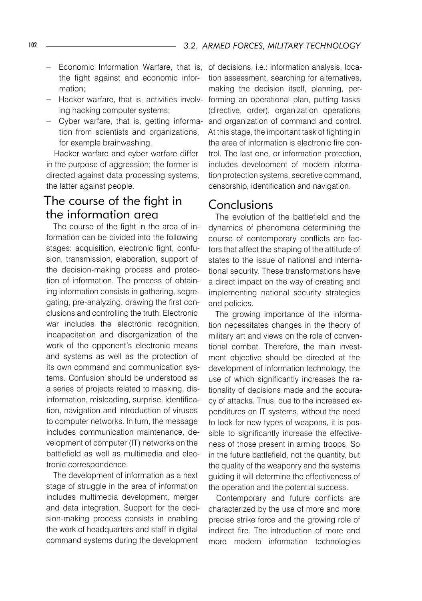- − Economic Information Warfare, that is, the fight against and economic information;
- − Hacker warfare, that is, activities involving hacking computer systems;
- − Cyber warfare, that is, getting information from scientists and organizations, for example brainwashing.

Hacker warfare and cyber warfare differ in the purpose of aggression; the former is directed against data processing systems, the latter against people.

## The course of the fight in the information area

The course of the fight in the area of information can be divided into the following stages: acquisition, electronic fight, confusion, transmission, elaboration, support of the decision-making process and protection of information. The process of obtaining information consists in gathering, segregating, pre-analyzing, drawing the first conclusions and controlling the truth. Electronic war includes the electronic recognition, incapacitation and disorganization of the work of the opponent's electronic means and systems as well as the protection of its own command and communication systems. Confusion should be understood as a series of projects related to masking, disinformation, misleading, surprise, identification, navigation and introduction of viruses to computer networks. In turn, the message includes communication maintenance, development of computer (IT) networks on the battlefield as well as multimedia and electronic correspondence.

The development of information as a next stage of struggle in the area of information includes multimedia development, merger and data integration. Support for the decision-making process consists in enabling the work of headquarters and staff in digital command systems during the development

of decisions, i.e.: information analysis, location assessment, searching for alternatives, making the decision itself, planning, performing an operational plan, putting tasks (directive, order), organization operations and organization of command and control. At this stage, the important task of fighting in the area of information is electronic fire control. The last one, or information protection, includes development of modern information protection systems, secretive command, censorship, identification and navigation.

#### **Conclusions**

The evolution of the battlefield and the dynamics of phenomena determining the course of contemporary conflicts are factors that affect the shaping of the attitude of states to the issue of national and international security. These transformations have a direct impact on the way of creating and implementing national security strategies and policies.

The growing importance of the information necessitates changes in the theory of military art and views on the role of conventional combat. Therefore, the main investment objective should be directed at the development of information technology, the use of which significantly increases the rationality of decisions made and the accuracy of attacks. Thus, due to the increased expenditures on IT systems, without the need to look for new types of weapons, it is possible to significantly increase the effectiveness of those present in arming troops. So in the future battlefield, not the quantity, but the quality of the weaponry and the systems guiding it will determine the effectiveness of the operation and the potential success.

Contemporary and future conflicts are characterized by the use of more and more precise strike force and the growing role of indirect fire. The introduction of more and more modern information technologies